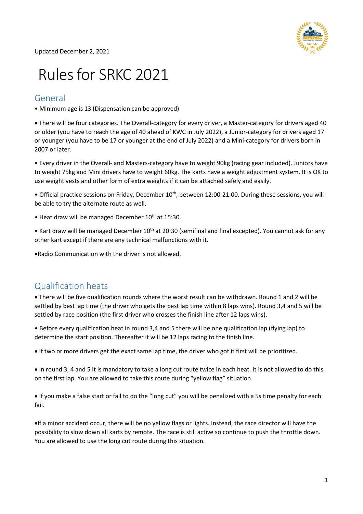

# Rules for SRKC 2021

#### General

• Minimum age is 13 (Dispensation can be approved)

 There will be four categories. The Overall-category for every driver, a Master-category for drivers aged 40 or older (you have to reach the age of 40 ahead of KWC in July 2022), a Junior-category for drivers aged 17 or younger (you have to be 17 or younger at the end of July 2022) and a Mini-category for drivers born in 2007 or later.

• Every driver in the Overall- and Masters-category have to weight 90kg (racing gear included). Juniors have to weight 75kg and Mini drivers have to weight 60kg. The karts have a weight adjustment system. It is OK to use weight vests and other form of extra weights if it can be attached safely and easily.

• Official practice sessions on Friday, December 10<sup>th</sup>, between 12:00-21:00. During these sessions, you will be able to try the alternate route as well.

 $\bullet$  Heat draw will be managed December  $10^{th}$  at 15:30.

• Kart draw will be managed December  $10^{th}$  at 20:30 (semifinal and final excepted). You cannot ask for any other kart except if there are any technical malfunctions with it.

Radio Communication with the driver is not allowed.

#### Qualification heats

 There will be five qualification rounds where the worst result can be withdrawn. Round 1 and 2 will be settled by best lap time (the driver who gets the best lap time within 8 laps wins). Round 3,4 and 5 will be settled by race position (the first driver who crosses the finish line after 12 laps wins).

• Before every qualification heat in round 3,4 and 5 there will be one qualification lap (flying lap) to determine the start position. Thereafter it will be 12 laps racing to the finish line.

If two or more drivers get the exact same lap time, the driver who got it first will be prioritized.

 In round 3, 4 and 5 it is mandatory to take a long cut route twice in each heat. It is not allowed to do this on the first lap. You are allowed to take this route during "yellow flag" situation.

 If you make a false start or fail to do the "long cut" you will be penalized with a 5s time penalty for each fail.

If a minor accident occur, there will be no yellow flags or lights. Instead, the race director will have the possibility to slow down all karts by remote. The race is still active so continue to push the throttle down. You are allowed to use the long cut route during this situation.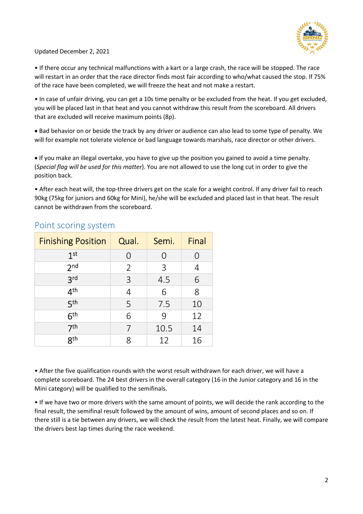

• If there occur any technical malfunctions with a kart or a large crash, the race will be stopped. The race will restart in an order that the race director finds most fair according to who/what caused the stop. If 75% of the race have been completed, we will freeze the heat and not make a restart.

• In case of unfair driving, you can get a 10s time penalty or be excluded from the heat. If you get excluded, you will be placed last in that heat and you cannot withdraw this result from the scoreboard. All drivers that are excluded will receive maximum points (8p).

 Bad behavior on or beside the track by any driver or audience can also lead to some type of penalty. We will for example not tolerate violence or bad language towards marshals, race director or other drivers.

 If you make an illegal overtake, you have to give up the position you gained to avoid a time penalty. (Special flag will be used for this matter). You are not allowed to use the long cut in order to give the position back.

• After each heat will, the top-three drivers get on the scale for a weight control. If any driver fail to reach 90kg (75kg for juniors and 60kg for Mini), he/she will be excluded and placed last in that heat. The result cannot be withdrawn from the scoreboard.

| <b>Finishing Position</b> | Qual.            | Semi. | Final |
|---------------------------|------------------|-------|-------|
| 1 <sup>st</sup>           | $\left( \right)$ | ( )   | 0     |
| 2 <sub>nd</sub>           | 2                | 3     | 4     |
| 3 <sup>rd</sup>           | 3                | 4.5   | 6     |
| 4 <sup>th</sup>           | 4                | 6     | 8     |
| 5 <sup>th</sup>           | 5                | 7.5   | 10    |
| 6 <sup>th</sup>           | 6                | 9     | 12    |
| 7 <sup>th</sup>           |                  | 10.5  | 14    |
| <b>gth</b>                | 8                | 12    | 16    |

#### Point scoring system

• After the five qualification rounds with the worst result withdrawn for each driver, we will have a complete scoreboard. The 24 best drivers in the overall category (16 in the Junior category and 16 in the Mini category) will be qualified to the semifinals.

• If we have two or more drivers with the same amount of points, we will decide the rank according to the final result, the semifinal result followed by the amount of wins, amount of second places and so on. If there still is a tie between any drivers, we will check the result from the latest heat. Finally, we will compare the drivers best lap times during the race weekend.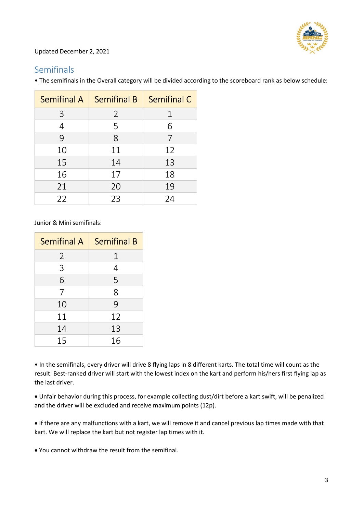

# Semifinals

| <b>Semifinal A</b> | <b>Semifinal B</b> | <b>Semifinal C</b> |
|--------------------|--------------------|--------------------|
| 3                  | $\overline{2}$     | $\mathbf 1$        |
| $\overline{4}$     | 5                  | 6                  |
| 9                  | 8                  | 7                  |
| 10                 | 11                 | 12                 |
| 15                 | 14                 | 13                 |
| 16                 | 17                 | 18                 |
| 21                 | 20                 | 19                 |
| 22                 | 23                 | 24                 |

• The semifinals in the Overall category will be divided according to the scoreboard rank as below schedule:

Junior & Mini semifinals:

| <b>Semifinal A</b> | <b>Semifinal B</b> |
|--------------------|--------------------|
| $\overline{2}$     | 1                  |
| 3                  | 4                  |
| 6                  | 5                  |
| 7                  | 8                  |
| 10                 | 9                  |
| 11                 | 12                 |
| 14                 | 13                 |
| 15                 | 16                 |

• In the semifinals, every driver will drive 8 flying laps in 8 different karts. The total time will count as the result. Best-ranked driver will start with the lowest index on the kart and perform his/hers first flying lap as the last driver.

 Unfair behavior during this process, for example collecting dust/dirt before a kart swift, will be penalized and the driver will be excluded and receive maximum points (12p).

 If there are any malfunctions with a kart, we will remove it and cancel previous lap times made with that kart. We will replace the kart but not register lap times with it.

You cannot withdraw the result from the semifinal.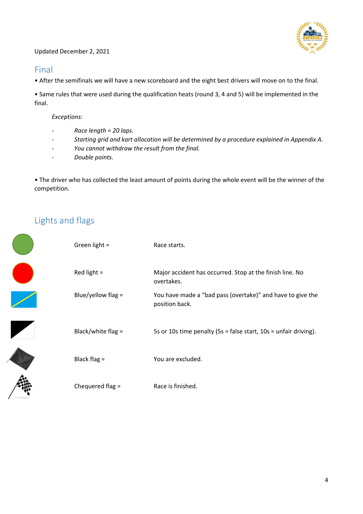

### Final

• After the semifinals we will have a new scoreboard and the eight best drivers will move on to the final.

• Same rules that were used during the qualification heats (round 3, 4 and 5) will be implemented in the final.

Exceptions:

- Race length = 20 laps.
- Starting grid and kart allocation will be determined by a procedure explained in Appendix A.
- You cannot withdraw the result from the final.
- Double points.

• The driver who has collected the least amount of points during the whole event will be the winner of the competition.

# Lights and flags

 $\overline{\phantom{0}}$ 

| Green light $=$      | Race starts.                                                                 |
|----------------------|------------------------------------------------------------------------------|
| Red light $=$        | Major accident has occurred. Stop at the finish line. No<br>overtakes.       |
| Blue/yellow flag $=$ | You have made a "bad pass (overtake)" and have to give the<br>position back. |
| Black/white flag =   | 5s or 10s time penalty (5s = false start, 10s = unfair driving).             |
| Black flag $=$       | You are excluded.                                                            |
| Chequered flag =     | Race is finished.                                                            |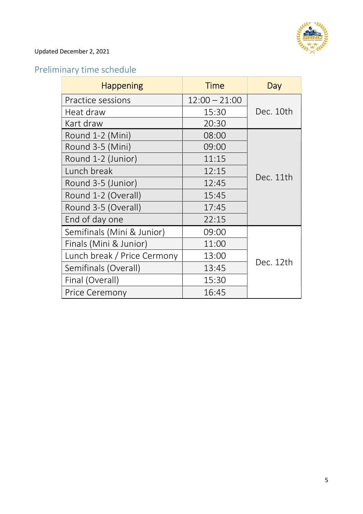

# Preliminary time schedule

| <b>Happening</b>            | <b>Time</b>     | Day       |
|-----------------------------|-----------------|-----------|
| Practice sessions           | $12:00 - 21:00$ |           |
| Heat draw                   | 15:30           | Dec. 10th |
| Kart draw                   | 20:30           |           |
| Round 1-2 (Mini)            | 08:00           | Dec. 11th |
| Round 3-5 (Mini)            | 09:00           |           |
| Round 1-2 (Junior)          | 11:15           |           |
| Lunch break                 | 12:15           |           |
| Round 3-5 (Junior)          | 12:45           |           |
| Round 1-2 (Overall)         | 15:45           |           |
| Round 3-5 (Overall)         | 17:45           |           |
| End of day one              | 22:15           |           |
| Semifinals (Mini & Junior)  | 09:00           |           |
| Finals (Mini & Junior)      | 11:00           |           |
| Lunch break / Price Cermony | 13:00           |           |
| Semifinals (Overall)        | 13:45           | Dec. 12th |
| Final (Overall)             | 15:30           |           |
| Price Ceremony              | 16:45           |           |